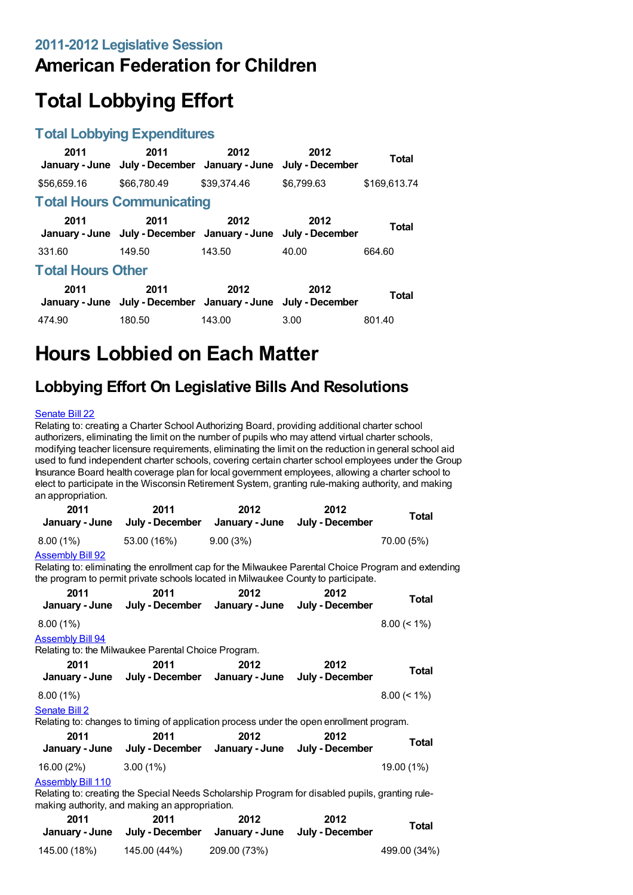## **American Federation for Children**

# **Total Lobbying Effort**

### **Total Lobbying Expenditures**

| 2011                     | 2011<br>January - June July - December January - June July - December | 2012        | 2012       | <b>Total</b> |
|--------------------------|-----------------------------------------------------------------------|-------------|------------|--------------|
| \$56,659.16              | \$66,780,49                                                           | \$39,374.46 | \$6,799.63 | \$169,613.74 |
|                          | <b>Total Hours Communicating</b>                                      |             |            |              |
| 2011                     | 2011<br>January - June July - December January - June July - December | 2012        | 2012       | <b>Total</b> |
| 331.60                   | 149.50                                                                | 143.50      | 40.00      | 664.60       |
| <b>Total Hours Other</b> |                                                                       |             |            |              |
| 2011                     | 2011<br>January - June July - December January - June July - December | 2012        | 2012       | <b>Total</b> |
| 474.90                   | 180.50                                                                | 143.00      | 3.00       | 801.40       |

## **Hours Lobbied on Each Matter**

## **Lobbying Effort On Legislative Bills And Resolutions**

#### [Senate](https://lobbying.wi.gov/What/BillInformation/2011REG/Information/8003?tab=Efforts) Bill 22

Relating to: creating a Charter School Authorizing Board, providing additional charter school authorizers, eliminating the limit on the number of pupils who may attend virtual charter schools, modifying teacher licensure requirements, eliminating the limit on the reduction in general school aid used to fund independent charter schools, covering certain charter school employees under the Group Insurance Board health coverage plan for local government employees, allowing a charter school to elect to participate in the Wisconsin Retirement System, granting rule-making authority, and making an appropriation.

| 2011<br>January - June   | 2011<br>July - December                                                                                                                                                                  | 2012<br>January - June | 2012<br>July - December | <b>Total</b>   |
|--------------------------|------------------------------------------------------------------------------------------------------------------------------------------------------------------------------------------|------------------------|-------------------------|----------------|
| $8.00(1\%)$              | 53.00 (16%)                                                                                                                                                                              | 9.00(3%)               |                         | 70.00 (5%)     |
| <b>Assembly Bill 92</b>  | Relating to: eliminating the enrollment cap for the Milwaukee Parental Choice Program and extending<br>the program to permit private schools located in Milwaukee County to participate. |                        |                         |                |
| 2011                     | 2011<br>January - June July - December January - June                                                                                                                                    | 2012                   | 2012<br>July - December | <b>Total</b>   |
| $8.00(1\%)$              |                                                                                                                                                                                          |                        |                         | $8.00 \le 1\%$ |
| <b>Assembly Bill 94</b>  | Relating to: the Milwaukee Parental Choice Program.                                                                                                                                      |                        |                         |                |
| 2011                     | 2011<br>January - June July - December January - June                                                                                                                                    | 2012                   | 2012<br>July - December | <b>Total</b>   |
| $8.00(1\%)$              |                                                                                                                                                                                          |                        |                         | $8.00 (< 1\%)$ |
| Senate Bill 2            | Relating to: changes to timing of application process under the open enrollment program.                                                                                                 |                        |                         |                |
| 2011                     | 2011<br>January - June July - December January - June July - December                                                                                                                    | 2012                   | 2012                    | <b>Total</b>   |
| 16.00 (2%)               | $3.00(1\%)$                                                                                                                                                                              |                        |                         | 19.00 (1%)     |
| <b>Assembly Bill 110</b> | Relating to: creating the Special Needs Scholarship Program for disabled pupils, granting rule-<br>making authority, and making an appropriation.                                        |                        |                         |                |
| 2011                     | 2011                                                                                                                                                                                     | 2012                   | 2012                    | <b>Total</b>   |
|                          | January - June July - December January - June                                                                                                                                            |                        | July - December         |                |
| 145.00 (18%)             | 145.00 (44%)                                                                                                                                                                             | 209.00 (73%)           |                         | 499.00 (34%)   |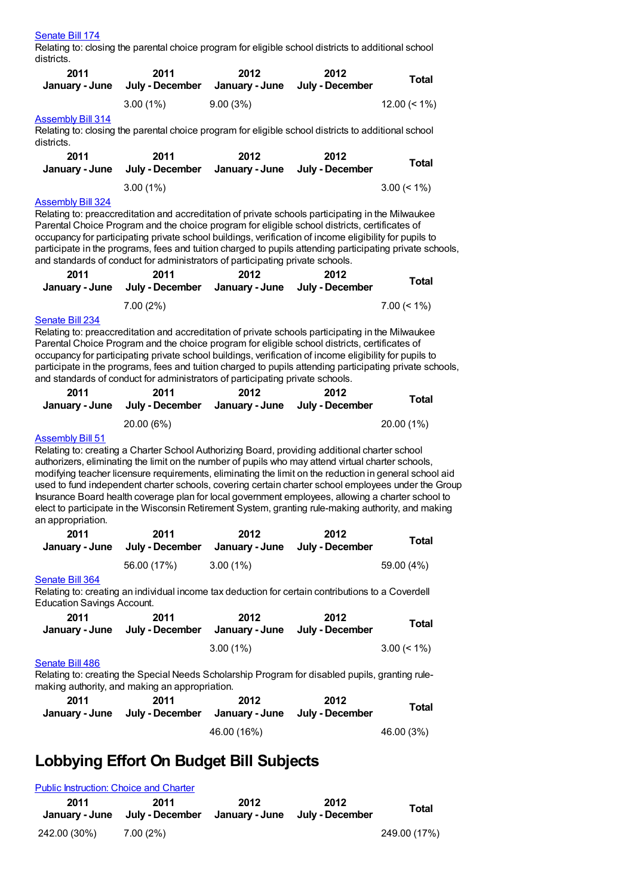#### [Senate](https://lobbying.wi.gov/What/BillInformation/2011REG/Information/8457?tab=Efforts) Bill 174

Relating to: closing the parental choice program for eligible school districts to additional school districts.

| 2011<br>January - June     | 2011<br>July - December | 2012<br>January - June July - December | 2012 | Total           |
|----------------------------|-------------------------|----------------------------------------|------|-----------------|
| $\Lambda$ ooombhi Dill 944 | $3.00(1\%)$             | 9.00(3%)                               |      | $12.00 \le 1\%$ |

#### [Assembly](https://lobbying.wi.gov/What/BillInformation/2011REG/Information/8605?tab=Efforts) Bill 314

Relating to: closing the parental choice program for eligible school districts to additional school districts.

| 2011           | 2011            | 2012           | 2012            | Total          |
|----------------|-----------------|----------------|-----------------|----------------|
| January - June | July - December | January - June | July - December |                |
|                | $3.00(1\%)$     |                |                 | $3.00 \le 1\%$ |

#### [Assembly](https://lobbying.wi.gov/What/BillInformation/2011REG/Information/8663?tab=Efforts) Bill 324

Relating to: preaccreditation and accreditation of private schools participating in the Milwaukee Parental Choice Program and the choice program for eligible school districts, certificates of occupancy for participating private school buildings, verification of income eligibility for pupils to participate in the programs, fees and tuition charged to pupils attending participating private schools, and standards of conduct for administrators of participating private schools.

| 2011 | 2011<br>January - June July - December January - June July - December | 2012 | 2012 | Total          |
|------|-----------------------------------------------------------------------|------|------|----------------|
|      | $7.00(2\%)$                                                           |      |      | $7.00 \le 1\%$ |

#### [Senate](https://lobbying.wi.gov/What/BillInformation/2011REG/Information/8664?tab=Efforts) Bill 234

Relating to: preaccreditation and accreditation of private schools participating in the Milwaukee Parental Choice Program and the choice program for eligible school districts, certificates of occupancy for participating private school buildings, verification of income eligibility for pupils to participate in the programs, fees and tuition charged to pupils attending participating private schools, and standards of conduct for administrators of participating private schools.

| 2011 | 2011<br>January - June July - December January - June July - December | 2012 | 2012 | <b>Total</b> |
|------|-----------------------------------------------------------------------|------|------|--------------|
|      | 20.00 (6%)                                                            |      |      | $20.00(1\%)$ |

#### [Assembly](https://lobbying.wi.gov/What/BillInformation/2011REG/Information/8063?tab=Efforts) Bill 51

Relating to: creating a Charter School Authorizing Board, providing additional charter school authorizers, eliminating the limit on the number of pupils who may attend virtual charter schools, modifying teacher licensure requirements, eliminating the limit on the reduction in general school aid used to fund independent charter schools, covering certain charter school employees under the Group Insurance Board health coverage plan for local government employees, allowing a charter school to elect to participate in the Wisconsin Retirement System, granting rule-making authority, and making an appropriation.

| 2011 | 2011<br>January - June July - December January - June July - December | 2012        | 2012 | Total      |
|------|-----------------------------------------------------------------------|-------------|------|------------|
|      | 56.00 (17%)                                                           | $3.00(1\%)$ |      | 59.00 (4%) |

#### [Senate](https://lobbying.wi.gov/What/BillInformation/2011REG/Information/8976?tab=Efforts) Bill 364

Relating to: creating an individual income tax deduction for certain contributions to a Coverdell Education Savings Account.

| 2011 | 2011<br>January - June July - December January - June July - December | 2012        | 2012 | Total          |
|------|-----------------------------------------------------------------------|-------------|------|----------------|
|      |                                                                       | $3.00(1\%)$ |      | $3.00 \le 1\%$ |

#### [Senate](https://lobbying.wi.gov/What/BillInformation/2011REG/Information/9248?tab=Efforts) Bill 486

Relating to: creating the Special Needs Scholarship Program for disabled pupils, granting rulemaking authority, and making an appropriation.

| 2011 | 2011<br>January - June July - December January - June July - December | 2012        | 2012 | Total      |
|------|-----------------------------------------------------------------------|-------------|------|------------|
|      |                                                                       | 46.00 (16%) |      | 46.00 (3%) |

### **Lobbying Effort On Budget Bill Subjects**

| <b>Public Instruction: Choice and Charter</b> |                         |      |                                        |              |
|-----------------------------------------------|-------------------------|------|----------------------------------------|--------------|
| 2011<br>January - June                        | 2011<br>July - December | 2012 | 2012<br>January - June July - December | Total        |
| 242.00 (30%)                                  | 7.00 (2%)               |      |                                        | 249.00 (17%) |